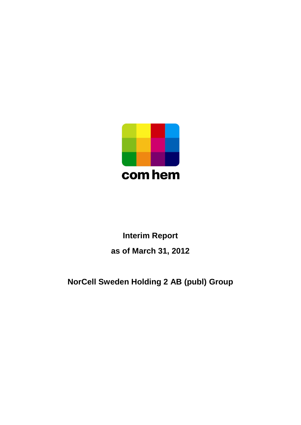

# **Interim Report as of March 31, 2012**

# **NorCell Sweden Holding 2 AB (publ) Group**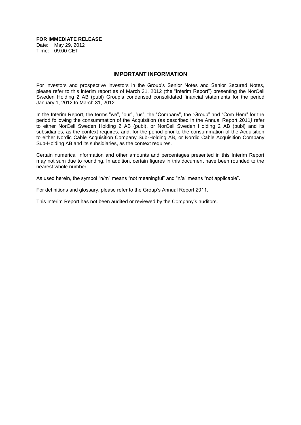#### **FOR IMMEDIATE RELEASE**

Date: May 29, 2012 Time: 09:00 CET

#### **IMPORTANT INFORMATION**

For investors and prospective investors in the Group's Senior Notes and Senior Secured Notes, please refer to this interim report as of March 31, 2012 (the "Interim Report") presenting the NorCell Sweden Holding 2 AB (publ) Group's condensed consolidated financial statements for the period January 1, 2012 to March 31, 2012.

In the Interim Report, the terms "we", "our", "us", the "Company", the "Group" and "Com Hem" for the period following the consummation of the Acquisition (as described in the Annual Report 2011*)* refer to either NorCell Sweden Holding 2 AB (publ), or NorCell Sweden Holding 2 AB (publ) and its subsidiaries, as the context requires, and, for the period prior to the consummation of the Acquisition to either Nordic Cable Acquisition Company Sub-Holding AB, or Nordic Cable Acquisition Company Sub-Holding AB and its subsidiaries, as the context requires.

Certain numerical information and other amounts and percentages presented in this Interim Report may not sum due to rounding. In addition, certain figures in this document have been rounded to the nearest whole number.

As used herein, the symbol "n/m" means "not meaningful" and "n/a" means "not applicable".

For definitions and glossary, please refer to the Group's Annual Report 2011.

This Interim Report has not been audited or reviewed by the Company's auditors.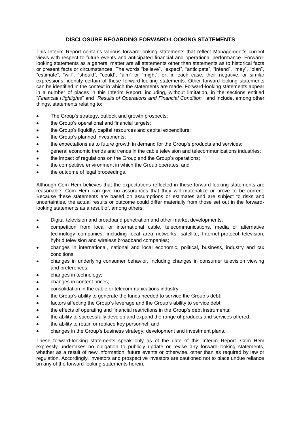# **DISCLOSURE REGARDING FORWARD-LOOKING STATEMENTS**

This Interim Report contains various forward-looking statements that reflect Management's current views with respect to future events and anticipated financial and operational performance. Forwardlooking statements as a general matter are all statements other than statements as to historical facts or present facts or circumstances. The words "believe", "expect", "anticipate", "intend", "may", "plan", "estimate", "will", "should", "could", "aim" or "might", or, in each case, their negative, or similar expressions, identify certain of these forward-looking statements. Other forward-looking statements can be identified in the context in which the statements are made. Forward-looking statements appear in a number of places in this Interim Report, including, without limitation, in the sections entitled "*Financial Highlights*" and "*Results of Operations and Financial Condition*", and include, among other things, statements relating to:

- The Group's strategy, outlook and growth prospects;
- the Group's operational and financial targets;
- the Group's liquidity, capital resources and capital expenditure;
- the Group's planned investments;
- the expectations as to future growth in demand for the Group's products and services;
- general economic trends and trends in the cable television and telecommunications industries;
- the impact of regulations on the Group and the Group's operations;
- the competitive environment in which the Group operates; and
- the outcome of legal proceedings.

Although Com Hem believes that the expectations reflected in these forward-looking statements are reasonable, Com Hem can give no assurances that they will materialize or prove to be correct. Because these statements are based on assumptions or estimates and are subject to risks and uncertainties, the actual results or outcome could differ materially from those set out in the forwardlooking statements as a result of, among others:

- Digital television and broadband penetration and other market developments;  $\bullet$
- competition from local or international cable, telecommunications, media or alternative technology companies, including local area networks, satellite, Internet-protocol television, hybrid television and wireless broadband companies;
- changes in international, national and local economic, political, business, industry and tax conditions;
- changes in underlying consumer behavior, including changes in consumer television viewing and preferences;
- changes in technology;
- changes in content prices;
- consolidation in the cable or telecommunications industry;
- the Group's ability to generate the funds needed to service the Group's debt;
- factors affecting the Group's leverage and the Group's ability to service debt;
- the effects of operating and financial restrictions in the Group's debt instruments;
- the ability to successfully develop and expand the range of products and services offered;
- the ability to retain or replace key personnel; and
- changes in the Group's business strategy, development and investment plans.

These forward-looking statements speak only as of the date of this Interim Report. Com Hem expressly undertakes no obligation to publicly update or revise any forward-looking statements, whether as a result of new information, future events or otherwise, other than as required by law or regulation. Accordingly, investors and prospective investors are cautioned not to place undue reliance on any of the forward-looking statements herein.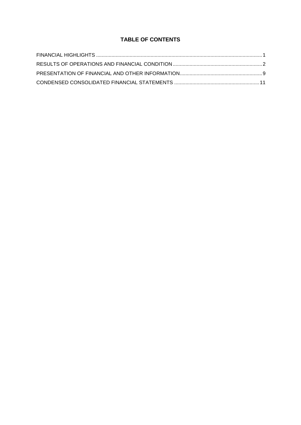# **TABLE OF CONTENTS**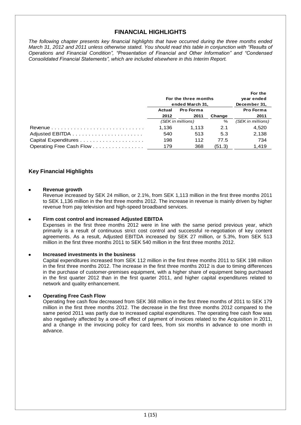# **FINANCIAL HIGHLIGHTS**

*The following chapter presents key financial highlights that have occurred during the three months ended March 31, 2012 and 2011 unless otherwise stated. You should read this table in conjunction with "Results of Operations and Financial Condition", "Presentation of Financial and Other Information" and "Condensed Consolidated Financial Statements", which are included elsewhere in this Interim Report.*

|                          |        | For the three months |        | For the<br>year ended |
|--------------------------|--------|----------------------|--------|-----------------------|
|                          |        | ended March 31,      |        | December 31,          |
|                          | Actual | Pro Forma            |        | Pro Forma             |
|                          | 2012   | 2011                 | Change | 2011                  |
|                          |        | (SEK in millions)    | %      | (SEK in millions)     |
|                          | 1.136  | 1.113                | 2.1    | 4.520                 |
|                          | 540    | 513                  | 5.3    | 2,138                 |
|                          | 198    | 112                  | 77.5   | 734                   |
| Operating Free Cash Flow | 179    | 368                  | (51.3) | 1.419                 |

# **Key Financial Highlights**

## **Revenue growth**

Revenue increased by SEK 24 million, or 2.1%, from SEK 1,113 million in the first three months 2011 to SEK 1,136 million in the first three months 2012. The increase in revenue is mainly driven by higher revenue from pay television and high-speed broadband services.

# **Firm cost control and increased Adjusted EBITDA**

Expenses in the first three months 2012 were in line with the same period previous year, which primarily is a result of continuous strict cost control and successful re-negotiation of key content agreements. As a result, Adjusted EBITDA increased by SEK 27 million, or 5.3%, from SEK 513 million in the first three months 2011 to SEK 540 million in the first three months 2012.

# **Increased investments in the business**

Capital expenditures increased from SEK 112 million in the first three months 2011 to SEK 198 million in the first three months 2012. The increase in the first three months 2012 is due to timing differences in the purchase of customer-premises equipment, with a higher share of equipment being purchased in the first quarter 2012 than in the first quarter 2011, and higher capital expenditures related to network and quality enhancement.

# **Operating Free Cash Flow**

Operating free cash flow decreased from SEK 368 million in the first three months of 2011 to SEK 179 million in the first three months 2012. The decrease in the first three months 2012 compared to the same period 2011 was partly due to increased capital expenditures. The operating free cash flow was also negatively affected by a one-off effect of payment of invoices related to the Acquisition in 2011, and a change in the invoicing policy for card fees, from six months in advance to one month in advance.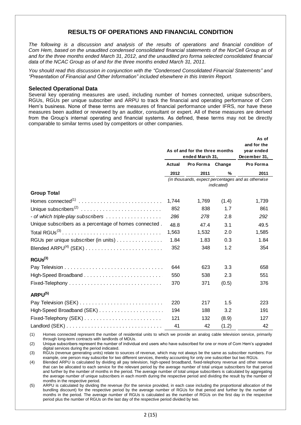# **RESULTS OF OPERATIONS AND FINANCIAL CONDITION**

*The following is a discussion and analysis of the results of operations and financial condition of Com Hem, based on the unaudited condensed consolidated financial statements of the NorCell Group as of and for the three months ended March 31, 2012, and the unaudited pro forma selected consolidated financial data of the NCAC Group as of and for the three months ended March 31, 2011.*

*You should read this discussion in conjunction with the "Condensed Consolidated Financial Statements" and "Presentation of Financial and Other Information" included elsewhere in this Interim Report.*

## **Selected Operational Data**

Several key operating measures are used, including number of homes connected, unique subscribers, RGUs, RGUs per unique subscriber and ARPU to track the financial and operating performance of Com Hem's business. None of these terms are measures of financial performance under IFRS, nor have these measures been audited or reviewed by an auditor, consultant or expert. All of these measures are derived from the Group's internal operating and financial systems. As defined, these terms may not be directly comparable to similar terms used by competitors or other companies.

|                                                        | As of and for the three months<br>ended March 31, |                                                    |       | As of<br>and for the<br>year ended<br>December 31, |
|--------------------------------------------------------|---------------------------------------------------|----------------------------------------------------|-------|----------------------------------------------------|
|                                                        | <b>Actual</b>                                     | Pro Forma Change                                   |       | Pro Forma                                          |
|                                                        | 2012                                              | 2011                                               | %     | 2011                                               |
|                                                        |                                                   | (in thousands, expect percentages and as otherwise |       |                                                    |
| <b>Group Total</b>                                     |                                                   |                                                    |       |                                                    |
| Homes connected <sup>(1)</sup>                         | 1,744                                             | 1,769                                              | (1.4) | 1,739                                              |
|                                                        | 852                                               | 838                                                | 1.7   | 861                                                |
|                                                        | 286                                               | 278                                                | 2.8   | 292                                                |
| Unique subscribers as a percentage of homes connected. | 48.8                                              | 47.4                                               | 3.1   | 49.5                                               |
|                                                        | 1,563                                             | 1,532                                              | 2.0   | 1,585                                              |
| RGUs per unique subscriber (in units)                  | 1.84                                              | 1.83                                               | 0.3   | 1.84                                               |
|                                                        | 352                                               | 348                                                | 1.2   | 354                                                |
| RGUs <sup>(3)</sup>                                    |                                                   |                                                    |       |                                                    |
|                                                        | 644                                               | 623                                                | 3.3   | 658                                                |
|                                                        | 550                                               | 538                                                | 2.3   | 551                                                |
|                                                        | 370                                               | 371                                                | (0.5) | 376                                                |
| $ARPU^{(5)}$                                           |                                                   |                                                    |       |                                                    |
|                                                        | 220                                               | 217                                                | 1.5   | 223                                                |
|                                                        | 194                                               | 188                                                | 3.2   | 191                                                |
|                                                        | 121                                               | 132                                                | (8.9) | 127                                                |
|                                                        | 41                                                | 42                                                 | (1.2) | 42                                                 |

(1) Homes connected represent the number of residential units to which we provide an analog cable television service, primarily through long-term contracts with landlords of MDUs.

(2) Unique subscribers represent the number of individual end users who have subscribed for one or more of Com Hem's upgraded digital services during the period indicated.

(3) RGUs (revenue generating units) relate to sources of revenue, which may not always be the same as subscriber numbers. For example, one person may subscribe for two different services, thereby accounting for only one subscriber but two RGUs.

(4) Blended ARPU is calculated by dividing all pay television, high-speed broadband, fixed-telephony revenue and other revenue that can be allocated to each service for the relevant period by the average number of total unique subscribers for that period and further by the number of months in the period. The average number of total unique subscribers is calculated by aggregating the average number of unique subscribers in each month during the respective period and dividing the result by the number of months in the respective period.

(5) ARPU is calculated by dividing the revenue (for the service provided, in each case including the proportional allocation of the bundling discount) for the respective period by the average number of RGUs for that period and further by the number of months in the period. The average number of RGUs is calculated as the number of RGUs on the first day in the respective period plus the number of RGUs on the last day of the respective period divided by two.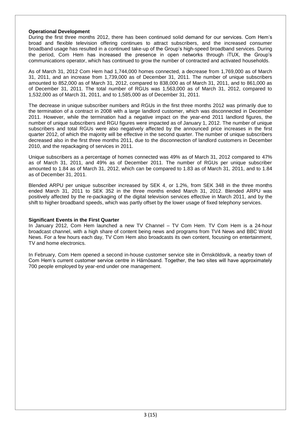## **Operational Development**

During the first three months 2012, there has been continued solid demand for our services. Com Hem's broad and flexible television offering continues to attract subscribers, and the increased consumer broadband usage has resulted in a continued take-up of the Group's high-speed broadband services. During the period, Com Hem has increased the presence in open networks through iTUX, the Group's communications operator, which has continued to grow the number of contracted and activated households.

As of March 31, 2012 Com Hem had 1,744,000 homes connected, a decrease from 1,769,000 as of March 31, 2011, and an increase from 1,739,000 as of December 31, 2011. The number of unique subscribers amounted to 852,000 as of March 31, 2012, compared to 838,000 as of March 31, 2011, and to 861,000 as of December 31, 2011. The total number of RGUs was 1,563,000 as of March 31, 2012, compared to 1,532,000 as of March 31, 2011, and to 1,585,000 as of December 31, 2011.

The decrease in unique subscriber numbers and RGUs in the first three months 2012 was primarily due to the termination of a contract in 2008 with a large landlord customer, which was disconnected in December 2011. However, while the termination had a negative impact on the year-end 2011 landlord figures, the number of unique subscribers and RGU figures were impacted as of January 1, 2012. The number of unique subscribers and total RGUs were also negatively affected by the announced price increases in the first quarter 2012, of which the majority will be effective in the second quarter. The number of unique subscribers decreased also in the first three months 2011, due to the disconnection of landlord customers in December 2010, and the repackaging of services in 2011.

Unique subscribers as a percentage of homes connected was 49% as of March 31, 2012 compared to 47% as of March 31, 2011, and 49% as of December 2011. The number of RGUs per unique subscriber amounted to 1.84 as of March 31, 2012, which can be compared to 1.83 as of March 31, 2011, and to 1.84 as of December 31, 2011.

Blended ARPU per unique subscriber increased by SEK 4, or 1.2%, from SEK 348 in the three months ended March 31, 2011 to SEK 352 in the three months ended March 31, 2012. Blended ARPU was positively affected by the re-packaging of the digital television services effective in March 2011, and by the shift to higher broadband speeds, which was partly offset by the lower usage of fixed telephony services.

# **Significant Events in the First Quarter**

In January 2012, Com Hem launched a new TV Channel – TV Com Hem. TV Com Hem is a 24-hour broadcast channel, with a high share of content being news and programs from TV4 News and BBC World News. For a few hours each day, TV Com Hem also broadcasts its own content, focusing on entertainment, TV and home electronics.

In February, Com Hem opened a second in-house customer service site in Örnsköldsvik, a nearby town of Com Hem's current customer service centre in Härnösand. Together, the two sites will have approximately 700 people employed by year-end under one management.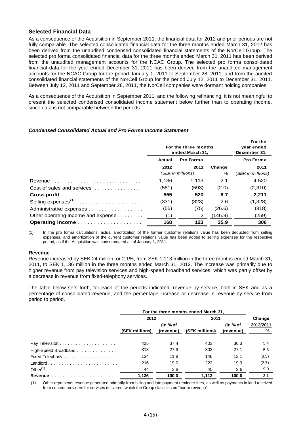# **Selected Financial Data**

As a consequence of the Acquisition in September 2011, the financial data for 2012 and prior periods are not fully comparable. The selected consolidated financial data for the three months ended March 31, 2012 has been derived from the unaudited condensed consolidated financial statements of the NorCell Group. The selected pro forma consolidated financial data for the three months ended March 31, 2011 has been derived from the unaudited management accounts for the NCAC Group. The selected pro forma consolidated financial data for the year ended December 31, 2011 has been derived from the unaudited management accounts for the NCAC Group for the period January 1, 2011 to September 28, 2011, and from the audited consolidated financial statements of the NorCell Group for the period July 12, 2011 to December 31, 2011. Between July 12, 2011 and September 28, 2011, the NorCell companies were dormant holding companies.

As a consequence of the Acquisition in September 2011, and the following refinancing, it is not meaningful to present the selected condensed consolidated income statement below further than to operating income, since data is not comparable between the periods.

# *Condensed Consolidated Actual and Pro Forma Income Statement*

|                                    | For the three months<br>ended March 31, |                   |         | For the<br>year ended<br>December 31, |  |  |  |  |  |           |
|------------------------------------|-----------------------------------------|-------------------|---------|---------------------------------------|--|--|--|--|--|-----------|
|                                    | Pro Forma<br>Actual                     |                   |         |                                       |  |  |  |  |  | Pro Forma |
|                                    | 2012                                    | 2011              | Change  | 2011                                  |  |  |  |  |  |           |
|                                    |                                         | (SEK in millions) | %       | (SEK in millions)                     |  |  |  |  |  |           |
|                                    | 1.136                                   | 1.113             | 2.1     | 4.520                                 |  |  |  |  |  |           |
| Cost of sales and services         | (581)                                   | (593)             | (2.0)   | (2,310)                               |  |  |  |  |  |           |
|                                    | 555                                     | 520               | 6.7     | 2,211                                 |  |  |  |  |  |           |
|                                    | (331)                                   | (323)             | 2.6     | (1,328)                               |  |  |  |  |  |           |
| Administrative expenses            | (55)                                    | (75)              | (26.6)  | (318)                                 |  |  |  |  |  |           |
| Other operating income and expense | (1)                                     | 2                 | (146.9) | (259)                                 |  |  |  |  |  |           |
|                                    | 168                                     | 123               | 35.9    | 306                                   |  |  |  |  |  |           |

(1) In the pro forma calculations, actual amortization of the former customer relations value has been deducted from selling expenses, and amortization of the current customer relations value has been added to selling expenses for the respective period, as if the Acquisition was consummated as of January 1, 2011.

#### **Revenue**

Revenue increased by SEK 24 million, or 2.1%, from SEK 1,113 million in the three months ended March 31, 2011, to SEK 1,136 million in the three months ended March 31, 2012. The increase was primarily due to higher revenue from pay television services and high-speed broadband services, which was partly offset by a decrease in revenue from fixed-telephony services.

The table below sets forth, for each of the periods indicated, revenue by service, both in SEK and as a percentage of consolidated revenue, and the percentage increase or decrease in revenue by service from period to period.

|                                                             | For the three months ended March 31, |           |                |           |           |
|-------------------------------------------------------------|--------------------------------------|-----------|----------------|-----------|-----------|
|                                                             | 2012                                 |           | 2011           | Change    |           |
|                                                             | (in % of                             |           |                | (in % of  | 2012/2011 |
|                                                             | (SEK millions)                       | (revenue) | (SEK millions) | (revenue) | %         |
|                                                             |                                      |           |                |           |           |
|                                                             | 425                                  | 37.4      | 403            | 36.3      | 5.4       |
| High-Speed Broadband                                        | 318                                  | 27.9      | 302            | 27.1      | 5.3       |
| $Fixed-Telephony \dots \dots \dots \dots \dots \dots \dots$ | 134                                  | 11.8      | 146            | 13.1      | (8.5)     |
|                                                             | 216                                  | 19.0      | 222            | 19.9      | (2.7)     |
|                                                             | 44                                   | 3.8       | 40             | 3.6       | 9.0       |
|                                                             | 1,136                                | 100.0     | 1,113          | 100.0     | 2.1       |

(1) Other represents revenue generated primarily from billing and late payment reminder fees, as well as payments in kind received from content providers for services delivered, which the Group classifies as "barter revenue".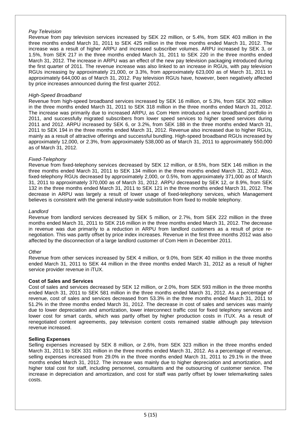## *Pay Television*

Revenue from pay television services increased by SEK 22 million, or 5.4%, from SEK 403 million in the three months ended March 31, 2011 to SEK 425 million in the three months ended March 31, 2012. The increase was a result of higher ARPU and increased subscriber volumes. ARPU increased by SEK 3, or 1.5%, from SEK 217 in the three months ended March 31, 2011 to SEK 220 in the three months ended March 31, 2012. The increase in ARPU was an effect of the new pay television packaging introduced during the first quarter of 2011. The revenue increase was also linked to an increase in RGUs, with pay television RGUs increasing by approximately 21,000, or 3.3%, from approximately 623,000 as of March 31, 2011 to approximately 644,000 as of March 31, 2012. Pay television RGUs have, however, been negatively affected by price increases announced during the first quarter 2012.

## *High-Speed Broadband*

Revenue from high-speed broadband services increased by SEK 16 million, or 5.3%, from SEK 302 million in the three months ended March 31, 2011 to SEK 318 million in the three months ended March 31, 2012. The increase was primarily due to increased ARPU, as Com Hem introduced a new broadband portfolio in 2011, and successfully migrated subscribers from lower speed services to higher speed services during 2011 and 2012. ARPU increased by SEK 6, or 3.2%, from SEK 188 in the three months ended March 31, 2011 to SEK 194 in the three months ended March 31, 2012. Revenue also increased due to higher RGUs, mainly as a result of attractive offerings and successful bundling. High-speed broadband RGUs increased by approximately 12,000, or 2.3%, from approximately 538,000 as of March 31, 2011 to approximately 550,000 as of March 31, 2012.

## *Fixed-Telephony*

Revenue from fixed-telephony services decreased by SEK 12 million, or 8.5%, from SEK 146 million in the three months ended March 31, 2011 to SEK 134 million in the three months ended March 31, 2012. Also, fixed-telephony RGUs decreased by approximately 2,000, or 0.5%, from approximately 371,000 as of March 31, 2011 to approximately 370,000 as of March 31, 2012. ARPU decreased by SEK 12, or 8.9%, from SEK 132 in the three months ended March 31, 2011 to SEK 121 in the three months ended March 31, 2012. The decrease in ARPU was largely a result of lower usage of fixed-telephony services, which Management believes is consistent with the general industry-wide substitution from fixed to mobile telephony.

## *Landlord*

Revenue from landlord services decreased by SEK 5 million, or 2.7%, from SEK 222 million in the three months ended March 31, 2011 to SEK 216 million in the three months ended March 31, 2012. The decrease in revenue was due primarily to a reduction in ARPU from landlord customers as a result of price renegotiation. This was partly offset by price index increases. Revenue in the first three months 2012 was also affected by the disconnection of a large landlord customer of Com Hem in December 2011.

#### *Other*

Revenue from other services increased by SEK 4 million, or 9.0%, from SEK 40 million in the three months ended March 31, 2011 to SEK 44 million in the three months ended March 31, 2012 as a result of higher service provider revenue in iTUX.

#### **Cost of Sales and Services**

Cost of sales and services decreased by SEK 12 million, or 2.0%, from SEK 593 million in the three months ended March 31, 2011 to SEK 581 million in the three months ended March 31, 2012. As a percentage of revenue, cost of sales and services decreased from 53.3% in the three months ended March 31, 2011 to 51.2% in the three months ended March 31, 2012. The decrease in cost of sales and services was mainly due to lower depreciation and amortization, lower interconnect traffic cost for fixed telephony services and lower cost for smart cards, which was partly offset by higher production costs in iTUX. As a result of renegotiated content agreements, pay television content costs remained stable although pay television revenue increased.

#### **Selling Expenses**

Selling expenses increased by SEK 8 million, or 2.6%, from SEK 323 million in the three months ended March 31, 2011 to SEK 331 million in the three months ended March 31, 2012. As a percentage of revenue, selling expenses increased from 29.0% in the three months ended March 31, 2011 to 29.1% in the three months ended March 31, 2012. The increase was mainly due to higher depreciation and amortization, and higher total cost for staff, including personnel, consultants and the outsourcing of customer service. The increase in depreciation and amortization, and cost for staff was partly offset by lower telemarketing sales costs.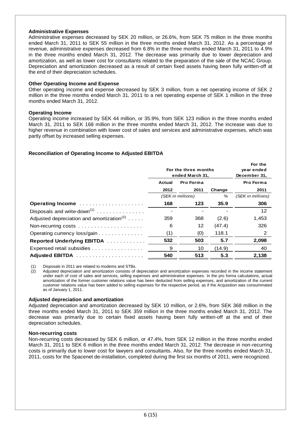## **Administrative Expenses**

Administrative expenses decreased by SEK 20 million, or 26.6%, from SEK 75 million in the three months ended March 31, 2011 to SEK 55 million in the three months ended March 31, 2012. As a percentage of revenue, administrative expenses decreased from 6.8% in the three months ended March 31, 2011 to 4.9% in the three months ended March 31, 2012. The decrease was primarily due to lower depreciation and amortization, as well as lower cost for consultants related to the preparation of the sale of the NCAC Group. Depreciation and amortization decreased as a result of certain fixed assets having been fully written-off at the end of their depreciation schedules.

## **Other Operating Income and Expense**

Other operating income and expense decreased by SEK 3 million, from a net operating income of SEK 2 million in the three months ended March 31, 2011 to a net operating expense of SEK 1 million in the three months ended March 31, 2012.

## **Operating Income**

Operating income increased by SEK 44 million, or 35.9%, from SEK 123 million in the three months ended March 31, 2011 to SEK 168 million in the three months ended March 31, 2012. The increase was due to higher revenue in combination with lower cost of sales and services and administrative expenses, which was partly offset by increased selling expenses.

# **Reconciliation of Operating Income to Adjusted EBITDA**

|                                                       | For the three months<br>ended March 31, |                   |        | For the<br>year ended<br>December 31, |
|-------------------------------------------------------|-----------------------------------------|-------------------|--------|---------------------------------------|
|                                                       | Pro Forma<br>Actual                     |                   |        | Pro Forma                             |
|                                                       | 2012                                    | 2011              | Change | 2011                                  |
|                                                       |                                         | (SEK in millions) | %      | (SEK in millions)                     |
| Operating Income                                      | 168                                     | 123               | 35.9   | 306                                   |
| Disposals and write-down <sup>(1)</sup>               |                                         |                   |        | 12                                    |
| Adjusted depreciation and amortization <sup>(2)</sup> | 359                                     | 368               | (2.6)  | 1,453                                 |
|                                                       | 6                                       | 12                | (47.4) | 326                                   |
| Operating currency loss/gain                          | (1)                                     | (0)               | 118.1  | 2                                     |
| Reported Underlying EBITDA                            | 532                                     | 503               | 5.7    | 2,098                                 |
| Expensed retail subsidies                             | 9                                       | 10                | (14.9) | 40                                    |
|                                                       | 540                                     | 513               | 5.3    | 2,138                                 |

(1) Disposals in 2011 are related to modems and STBs.

 (2) Adjusted depreciation and amortization consists of depreciation and amortization expenses recorded in the income statement under each of cost of sales and services, selling expenses and administrative expenses. In the pro forma calculations, actual amortization of the former customer relations value has been deducted from selling expenses, and amortization of the current customer relations value has been added to selling expenses for the respective period, as if the Acquisition was consummated as of January 1, 2011.

#### **Adjusted depreciation and amortization**

Adjusted depreciation and amortization decreased by SEK 10 million, or 2.6%, from SEK 368 million in the three months ended March 31, 2011 to SEK 359 million in the three months ended March 31, 2012. The decrease was primarily due to certain fixed assets having been fully written-off at the end of their depreciation schedules.

#### **Non-recurring costs**

Non-recurring costs decreased by SEK 6 million, or 47.4%, from SEK 12 million in the three months ended March 31, 2011 to SEK 6 million in the three months ended March 31, 2012. The decrease in non-recurring costs is primarily due to lower cost for lawyers and consultants. Also, for the three months ended March 31, 2011, costs for the Spacenet de-installation, completed during the first six months of 2011, were recognized.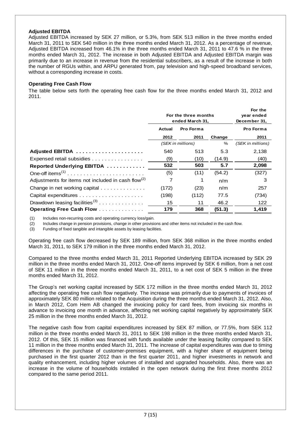## **Adjusted EBITDA**

Adjusted EBITDA increased by SEK 27 million, or 5.3%, from SEK 513 million in the three months ended March 31, 2011 to SEK 540 million in the three months ended March 31, 2012. As a percentage of revenue, Adjusted EBITDA increased from 46.1% in the three months ended March 31, 2011 to 47.6 % in the three months ended March 31, 2012. The increase in both Adjusted EBITDA and Adjusted EBITDA margin was primarily due to an increase in revenue from the residential subscribers, as a result of the increase in both the number of RGUs within, and ARPU generated from, pay television and high-speed broadband services, without a corresponding increase in costs.

## **Operating Free Cash Flow**

The table below sets forth the operating free cash flow for the three months ended March 31, 2012 and 2011.

|                                                                | For the three months<br>ended March 31, |                   | For the<br>year ended<br>December 31, |                   |
|----------------------------------------------------------------|-----------------------------------------|-------------------|---------------------------------------|-------------------|
|                                                                | Actual                                  | <b>Pro Forma</b>  |                                       | Pro Forma         |
|                                                                | 2012                                    | 2011              | Change                                | 2011              |
|                                                                |                                         | (SEK in millions) | %                                     | (SEK in millions) |
| Adjusted EBITDA                                                | 540                                     | 513               | 5.3                                   | 2,138             |
| Expensed retail subsidies                                      | (9)                                     | (10)              | (14.9)                                | (40)              |
| Reported Underlying EBITDA                                     | 532                                     | 503               | 5.7                                   | 2,098             |
|                                                                | (5)                                     | (11)              | (54.2)                                | (327)             |
| Adjustments for items not included in cash flow <sup>(2)</sup> | 7                                       |                   | n/m                                   | 3                 |
| Change in net working capital                                  | (172)                                   | (23)              | n/m                                   | 257               |
|                                                                | (198)                                   | (112)             | 77.5                                  | (734)             |
| Drawdown leasing facilities <sup>(3)</sup>                     | 15                                      | 11                | 46.2                                  | 122               |
| Operating Free Cash Flow                                       | 179                                     | 368               | (51.3)                                | 1,419             |

(1) Includes non-recurring costs and operating currency loss/gain.

(2) Includes change in pension provisions, change in other provisions and other items not included in the cash flow.

(3) Funding of fixed tangible and intangible assets by leasing facilities.

Operating free cash flow decreased by SEK 189 million, from SEK 368 million in the three months ended March 31, 2011, to SEK 179 million in the three months ended March 31, 2012.

Compared to the three months ended March 31, 2011 Reported Underlying EBITDA increased by SEK 29 million in the three months ended March 31, 2012. One-off items improved by SEK 6 million, from a net cost of SEK 11 million in the three months ended March 31, 2011, to a net cost of SEK 5 million in the three months ended March 31, 2012.

The Group's net working capital increased by SEK 172 million in the three months ended March 31, 2012 affecting the operating free cash flow negatively. The increase was primarily due to payments of invoices of approximately SEK 80 million related to the Acquisition during the three months ended March 31, 2012. Also, in March 2012, Com Hem AB changed the invoicing policy for card fees, from invoicing six months in advance to invoicing one month in advance, affecting net working capital negatively by approximately SEK 25 million in the three months ended March 31, 2012.

The negative cash flow from capital expenditures increased by SEK 87 million, or 77.5%, from SEK 112 million in the three months ended March 31, 2011 to SEK 198 million in the three months ended March 31, 2012. Of this, SEK 15 million was financed with funds available under the leasing facility compared to SEK 11 million in the three months ended March 31, 2011. The increase of capital expenditures was due to timing differences in the purchase of customer-premises equipment, with a higher share of equipment being purchased in the first quarter 2012 than in the first quarter 2011, and higher investments in network and quality enhancement, including higher volumes of installed and upgraded households. Also, there was an increase in the volume of households installed in the open network during the first three months 2012 compared to the same period 2011.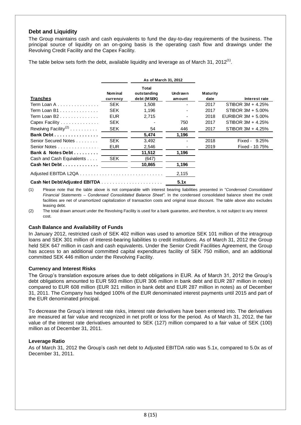# **Debt and Liquidity**

The Group maintains cash and cash equivalents to fund the day-to-day requirements of the business. The principal source of liquidity on an on-going basis is the operating cash flow and drawings under the Revolving Credit Facility and the Capex Facility.

The table below sets forth the debt, available liquidity and leverage as of March 31, 2012<sup>(1)</sup>.

|                                   | As of March 31, 2012       |                                            |                          |                         |                    |
|-----------------------------------|----------------------------|--------------------------------------------|--------------------------|-------------------------|--------------------|
| <b>Tranches</b>                   | <b>Nominal</b><br>currency | <b>Total</b><br>outstanding<br>debt (MSEK) | <b>Undrawn</b><br>amount | <b>Maturity</b><br>date | Interest rate      |
| Term Loan A                       | <b>SEK</b>                 | 1,508                                      |                          | 2017                    | STIBOR 3M + 4.25%  |
| Term Loan $B1$                    | <b>SEK</b>                 | 1.196                                      |                          | 2017                    | STIBOR 3M + 5.00%  |
| Term Loan B2                      | <b>EUR</b>                 | 2,715                                      |                          | 2018                    | EURIBOR 3M + 5.00% |
| Capex Facility                    | <b>SEK</b>                 |                                            | 750                      | 2017                    | STIBOR 3M + 4.25%  |
| Revolving Facility <sup>(2)</sup> | <b>SEK</b>                 | 54                                         | 446                      | 2017                    | STIBOR 3M + 4.25%  |
| Bank Debt                         |                            | 5,474                                      | 1,196                    |                         |                    |
| Senior Secured Notes              | <b>SEK</b>                 | 3,492                                      |                          | 2018                    | Fixed - 9.25%      |
| Senior Notes                      | <b>EUR</b>                 | 2,546                                      |                          | 2019                    | Fixed - 10.75%     |
| Bank & Notes Debt                 |                            | 11,512                                     | 1,196                    |                         |                    |
| Cash and Cash Equivalents         | <b>SEK</b>                 | (647)                                      |                          |                         |                    |
| Cash Net Debt                     |                            | 10,865                                     | 1,196                    |                         |                    |
|                                   |                            |                                            | 2,115                    |                         |                    |
|                                   |                            |                                            | 5.1x                     |                         |                    |

(1) Please note that the table above is not comparable with interest bearing liabilities presented in "*Condensed Consolidated Financial Statements – Condensed Consolidated Balance Sheet"*. In the condensed consolidated balance sheet the credit facilities are net of unamortized capitalization of transaction costs and original issue discount. The table above also excludes leasing debt.

(2) The total drawn amount under the Revolving Facility is used for a bank guarantee, and therefore, is not subject to any interest cost.

# **Cash Balance and Availability of Funds**

In January 2012, restricted cash of SEK 402 million was used to amortize SEK 101 million of the intragroup loans and SEK 301 million of interest-bearing liabilities to credit institutions. As of March 31, 2012 the Group held SEK 647 million in cash and cash equivalents. Under the Senior Credit Facilities Agreement, the Group has access to an additional committed capital expenditures facility of SEK 750 million, and an additional committed SEK 446 million under the Revolving Facility.

# **Currency and Interest Risks**

The Group's translation exposure arises due to debt obligations in EUR. As of March 31, 2012 the Group's debt obligations amounted to EUR 593 million (EUR 306 million in bank debt and EUR 287 million in notes) compared to EUR 608 million (EUR 321 million in bank debt and EUR 287 million in notes) as of December 31, 2011. The Company has hedged 100% of the EUR denominated interest payments until 2015 and part of the EUR denominated principal.

To decrease the Group's interest rate risks, interest rate derivatives have been entered into. The derivatives are measured at fair value and recognized in net profit or loss for the period. As of March 31, 2012, the fair value of the interest rate derivatives amounted to SEK (127) million compared to a fair value of SEK (100) million as of December 31, 2011.

# **Leverage Ratio**

As of March 31, 2012 the Group's cash net debt to Adjusted EBITDA ratio was 5.1x, compared to 5.0x as of December 31, 2011.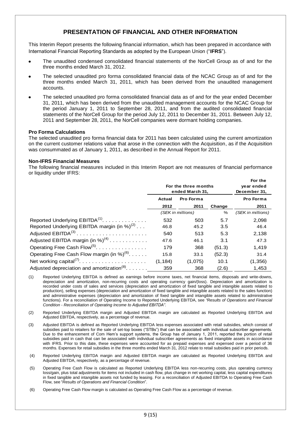# **PRESENTATION OF FINANCIAL AND OTHER INFORMATION**

This Interim Report presents the following financial information, which has been prepared in accordance with International Financial Reporting Standards as adopted by the European Union ("**IFRS**").

- The unaudited condensed consolidated financial statements of the NorCell Group as of and for the three months ended March 31, 2012.
- The selected unaudited pro forma consolidated financial data of the NCAC Group as of and for the three months ended March 31, 2011, which has been derived from the unaudited management accounts.
- The selected unaudited pro forma consolidated financial data as of and for the year ended December 31, 2011, which has been derived from the unaudited management accounts for the NCAC Group for the period January 1, 2011 to September 28, 2011, and from the audited consolidated financial statements of the NorCell Group for the period July 12, 2011 to December 31, 2011. Between July 12, 2011 and September 28, 2011, the NorCell companies were dormant holding companies.

# **Pro Forma Calculations**

The selected unaudited pro forma financial data for 2011 has been calculated using the current amortization on the current customer relations value that arose in the connection with the Acquisition, as if the Acquisition was consummated as of January 1, 2011, as described in the Annual Report for 2011.

## **Non-IFRS Financial Measures**

The following financial measures included in this Interim Report are not measures of financial performance or liquidity under IFRS:

|                                                         | For the three months<br>ended March 31, |         |           | For the<br>year ended<br>December 31, |  |  |  |                  |
|---------------------------------------------------------|-----------------------------------------|---------|-----------|---------------------------------------|--|--|--|------------------|
|                                                         | Actual                                  |         | Pro Forma |                                       |  |  |  | <b>Pro Forma</b> |
|                                                         | 2012<br>2011                            |         | Change    | 2011                                  |  |  |  |                  |
|                                                         | (SEK in millions)                       |         | %         | (SEK in millions)                     |  |  |  |                  |
| Reported Underlying $EBITDA(1)$                         | 532                                     | 503     | 5.7       | 2,098                                 |  |  |  |                  |
| Reported Underlying EBITDA margin (in %) $^{(2)}$       | 46.8                                    | 45.2    | 3.5       | 46.4                                  |  |  |  |                  |
| Adjusted $EBITDA(3)$                                    | 540                                     | 513     | 5.3       | 2,138                                 |  |  |  |                  |
| Adjusted EBITDA margin (in %) <sup>(4)</sup>            | 47.6                                    | 46.1    | 3.1       | 47.3                                  |  |  |  |                  |
| Operating Free Cash Flow <sup>(5)</sup> .               | 179                                     | 368     | (51.3)    | 1,419                                 |  |  |  |                  |
| Operating Free Cash Flow margin (in %) <sup>(6)</sup> . | 15.8                                    | 33.1    | (52.3)    | 31.4                                  |  |  |  |                  |
|                                                         | (1, 184)                                | (1,075) | 10.1      | (1,356)                               |  |  |  |                  |
| Adjusted depreciation and amortization <sup>(8)</sup>   | 359                                     | 368     | (2.6)     | 1.453                                 |  |  |  |                  |

- (1) Reported Underlying EBITDA is defined as earnings before income taxes, net financial items, disposals and write-downs, depreciation and amortization, non-recurring costs and operating currency gain/(loss). Depreciation and amortization is recorded under costs of sales and services (depreciation and amortization of fixed tangible and intangible assets related to production), selling expenses (depreciation and amortization of fixed tangible and intangible assets related to the sales function) and administrative expenses (depreciation and amortization of fixed tangible and intangible assets related to administrative functions). For a reconciliation of Operating Income to Reported Underlying EBITDA, see *"Results of Operations and Financial Condition* - *Reconciliation of Operating Income to Adjusted EBITDA"*.
- (2) Reported Underlying EBITDA margin and Adjusted EBITDA margin are calculated as Reported Underlying EBITDA and Adjusted EBITDA, respectively, as a percentage of revenue.
- (3) Adjusted EBITDA is defined as Reported Underlying EBITDA less expenses associated with retail subsidies, which consist of subsidies paid to retailers for the sale of set-top boxes ("STBs") that can be associated with individual subscriber agreements. Due to the enhancement of Com Hem's support systems, the Group has of January 1, 2011, reported the portion of retail subsidies paid in cash that can be associated with individual subscriber agreements as fixed intangible assets in accordance with IFRS. Prior to this date, these expenses were accounted for as prepaid expenses and expensed over a period of 36 months. Expenses for retail subsidies in the three months ended March 31, 2012 relate to retail subsidies paid in prior periods.
- (4) Reported Underlying EBITDA margin and Adjusted EBITDA margin are calculated as Reported Underlying EBITDA and Adjusted EBITDA, respectively, as a percentage of revenue.
- (5) Operating Free Cash Flow is calculated as Reported Underlying EBITDA less non-recurring costs, plus operating currency loss/gain, plus total adjustments for items not included in cash flow, plus change in net working capital, less capital expenditures in fixed tangible and intangible assets not funded by leasing. For a reconciliation of Adjusted EBITDA to Operating Free Cash Flow, see "*Results of Operations and Financial Condition*".

(6) Operating Free Cash Flow margin is calculated as Operating Free Cash Flow as a percentage of revenue.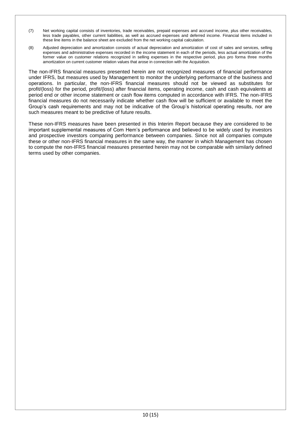- (7) Net working capital consists of inventories, trade receivables, prepaid expenses and accrued income, plus other receivables, less trade payables, other current liabilities, as well as accrued expenses and deferred income. Financial items included in these line items in the balance sheet are excluded from the net working capital calculation.
- (8) Adjusted depreciation and amortization consists of actual depreciation and amortization of cost of sales and services, selling expenses and administrative expenses recorded in the income statement in each of the periods, less actual amortization of the former value on customer relations recognized in selling expenses in the respective period, plus pro forma three months amortization on current customer relation values that arose in connection with the Acquisition.

The non-IFRS financial measures presented herein are not recognized measures of financial performance under IFRS, but measures used by Management to monitor the underlying performance of the business and operations. In particular, the non-IFRS financial measures should not be viewed as substitutes for profit/(loss) for the period, profit/(loss) after financial items, operating income, cash and cash equivalents at period end or other income statement or cash flow items computed in accordance with IFRS. The non-IFRS financial measures do not necessarily indicate whether cash flow will be sufficient or available to meet the Group's cash requirements and may not be indicative of the Group's historical operating results, nor are such measures meant to be predictive of future results.

These non-IFRS measures have been presented in this Interim Report because they are considered to be important supplemental measures of Com Hem's performance and believed to be widely used by investors and prospective investors comparing performance between companies. Since not all companies compute these or other non-IFRS financial measures in the same way, the manner in which Management has chosen to compute the non-IFRS financial measures presented herein may not be comparable with similarly defined terms used by other companies.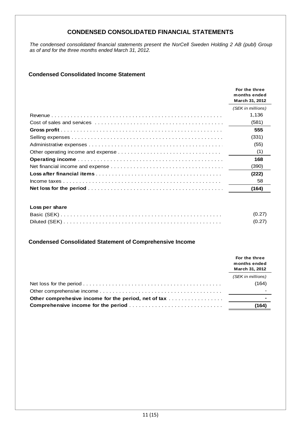# **CONDENSED CONSOLIDATED FINANCIAL STATEMENTS**

*The condensed consolidated financial statements present the NorCell Sweden Holding 2 AB (publ) Group as of and for the three months ended March 31, 2012.* 

# **Condensed Consolidated Income Statement**

|                | For the three<br>months ended<br>March 31, 2012 |
|----------------|-------------------------------------------------|
|                | (SEK in millions)                               |
|                | 1,136                                           |
|                | (581)                                           |
|                | 555                                             |
|                | (331)                                           |
|                | (55)                                            |
|                | (1)                                             |
|                | 168                                             |
|                | (390)                                           |
|                | (222)                                           |
|                | 58                                              |
|                | (164)                                           |
|                |                                                 |
| Loss per share |                                                 |
|                | (0.27)                                          |
|                | (0.27)                                          |

# **Condensed Consolidated Statement of Comprehensive Income**

|                                             | For the three<br>months ended<br>March 31, 2012 |  |
|---------------------------------------------|-------------------------------------------------|--|
|                                             | (SEK in millions)                               |  |
|                                             | (164)                                           |  |
|                                             |                                                 |  |
|                                             |                                                 |  |
| <b>Comprehensive income for the period </b> | (164)                                           |  |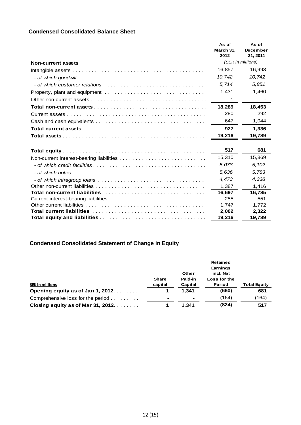# **Condensed Consolidated Balance Sheet**

|                                                                                                                            | As of<br>March 31.<br>2012 | As of<br>December<br>31, 2011 |
|----------------------------------------------------------------------------------------------------------------------------|----------------------------|-------------------------------|
| Non-current assets                                                                                                         |                            | (SEK in millions)             |
|                                                                                                                            | 16,857                     | 16,993                        |
|                                                                                                                            | 10,742                     | 10,742                        |
| - of which customer relations $\ldots \ldots \ldots \ldots \ldots \ldots \ldots \ldots \ldots \ldots \ldots \ldots \ldots$ | 5,714                      | 5,851                         |
|                                                                                                                            | 1,431                      | 1,460                         |
|                                                                                                                            | 1                          |                               |
|                                                                                                                            | 18,289                     | 18,453                        |
|                                                                                                                            | 280                        | 292                           |
|                                                                                                                            | 647                        | 1,044                         |
|                                                                                                                            | 927                        | 1,336                         |
|                                                                                                                            | 19,216                     | 19,789                        |
|                                                                                                                            |                            |                               |
|                                                                                                                            | 517                        | 681                           |
|                                                                                                                            | 15,310                     | 15,369                        |
|                                                                                                                            | 5,078                      | 5,102                         |
|                                                                                                                            | 5,636                      | 5,783                         |
|                                                                                                                            | 4,473                      | 4,338                         |
|                                                                                                                            | 1.387                      | 1,416                         |
|                                                                                                                            | 16,697                     | 16,785                        |
|                                                                                                                            | 255                        | 551                           |
|                                                                                                                            | 1,747                      | 1,772                         |
|                                                                                                                            | 2,002                      | 2,322                         |
|                                                                                                                            | 19,216                     | 19,789                        |

# **Condensed Consolidated Statement of Change in Equity**

|                                    |              |         | <b>Retained</b> |                     |
|------------------------------------|--------------|---------|-----------------|---------------------|
|                                    |              |         | Earnings        |                     |
|                                    |              | Other   | incl. Net       |                     |
|                                    | <b>Share</b> | Paid-in | Loss for the    |                     |
| <b>SEK in millions</b>             | capital      | Capital | Period          | <b>Total Equity</b> |
| Opening equity as of Jan 1, 2012.  |              | 1.341   | (660)           | 681                 |
| Comprehensive loss for the period  |              |         | (164)           | (164)               |
| Closing equity as of Mar 31, 2012. |              | 1.341   | (824)           | 517                 |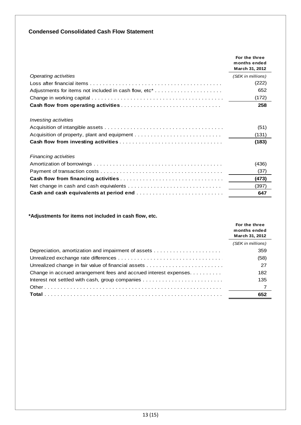# **Condensed Consolidated Cash Flow Statement**

|                             | For the three<br>months ended<br>March 31, 2012 |
|-----------------------------|-------------------------------------------------|
| <b>Operating activities</b> | (SEK in millions)                               |
|                             | (222)                                           |
|                             | 652                                             |
|                             | (172)                                           |
|                             | 258                                             |
| <i>Investing activities</i> |                                                 |
|                             | (51)                                            |
|                             | (131)                                           |
|                             | (183)                                           |
| <b>Financing activities</b> |                                                 |
|                             | (436)                                           |
|                             | (37)                                            |
|                             | (473)                                           |
|                             | (397)                                           |
|                             | 647                                             |

# **\*Adjustments for items not included in cash flow, etc.**

|                                                                  | For the three<br>months ended<br>March 31, 2012 |  |
|------------------------------------------------------------------|-------------------------------------------------|--|
|                                                                  | (SEK in millions)                               |  |
|                                                                  | 359                                             |  |
|                                                                  | (58)                                            |  |
|                                                                  | 27                                              |  |
| Change in accrued arrangement fees and accrued interest expenses | 182                                             |  |
|                                                                  | 135                                             |  |
|                                                                  |                                                 |  |
|                                                                  | 652                                             |  |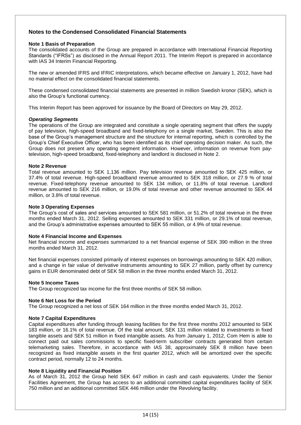# **Notes to the Condensed Consolidated Financial Statements**

## **Note 1 Basis of Preparation**

The consolidated accounts of the Group are prepared in accordance with International Financial Reporting Standards ("IFRSs") as disclosed in the Annual Report 2011. The Interim Report is prepared in accordance with IAS 34 Interim Financial Reporting.

The new or amended IFRS and IFRIC interpretations, which became effective on January 1, 2012, have had no material effect on the consolidated financial statements.

These condensed consolidated financial statements are presented in million Swedish kronor (SEK), which is also the Group's functional currency.

This Interim Report has been approved for issuance by the Board of Directors on May 29, 2012.

## *Operating Segments*

The operations of the Group are integrated and constitute a single operating segment that offers the supply of pay television, high-speed broadband and fixed-telephony on a single market, Sweden. This is also the base of the Group's management structure and the structure for internal reporting, which is controlled by the Group's Chief Executive Officer, who has been identified as its chief operating decision maker. As such, the Group does not present any operating segment information. However, information on revenue from paytelevision, high-speed broadband, fixed-telephony and landlord is disclosed in Note 2.

## **Note 2 Revenue**

Total revenue amounted to SEK 1,136 million. Pay television revenue amounted to SEK 425 million, or 37.4% of total revenue. High-speed broadband revenue amounted to SEK 318 million, or 27.9 % of total revenue. Fixed-telephony revenue amounted to SEK 134 million, or 11.8% of total revenue. Landlord revenue amounted to SEK 216 million, or 19.0% of total revenue and other revenue amounted to SEK 44 million, or 3.8% of total revenue.

## **Note 3 Operating Expenses**

The Group's cost of sales and services amounted to SEK 581 million, or 51.2% of total revenue in the three months ended March 31, 2012. Selling expenses amounted to SEK 331 million, or 29.1% of total revenue, and the Group's administrative expenses amounted to SEK 55 million, or 4.9% of total revenue.

#### **Note 4 Financial Income and Expenses**

Net financial income and expenses summarized to a net financial expense of SEK 390 million in the three months ended March 31, 2012.

Net financial expenses consisted primarily of interest expenses on borrowings amounting to SEK 420 million, and a change in fair value of derivative instruments amounting to SEK 27 million, partly offset by currency gains in EUR denominated debt of SEK 58 million in the three months ended March 31, 2012.

#### **Note 5 Income Taxes**

The Group recognized tax income for the first three months of SEK 58 million.

#### **Note 6 Net Loss for the Period**

The Group recognized a net loss of SEK 164 million in the three months ended March 31, 2012.

#### **Note 7 Capital Expenditures**

Capital expenditures after funding through leasing facilities for the first three months 2012 amounted to SEK 183 million, or 16.1% of total revenue. Of the total amount, SEK 131 million related to investments in fixed tangible assets and SEK 51 million in fixed intangible assets. As from January 1, 2012, Com Hem is able to connect paid out sales commissions to specific fixed-term subscriber contracts generated from certain telemarketing sales. Therefore, in accordance with IAS 38, approximately SEK 8 million have been recognized as fixed intangible assets in the first quarter 2012, which will be amortized over the specific contract period, normally 12 to 24 months.

#### **Note 8 Liquidity and Financial Position**

As of March 31, 2012 the Group held SEK 647 million in cash and cash equivalents. Under the Senior Facilities Agreement, the Group has access to an additional committed capital expenditures facility of SEK 750 million and an additional committed SEK 446 million under the Revolving facility.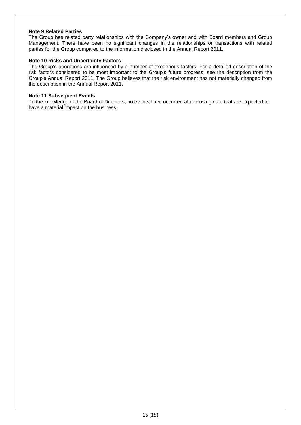## **Note 9 Related Parties**

The Group has related party relationships with the Company's owner and with Board members and Group Management. There have been no significant changes in the relationships or transactions with related parties for the Group compared to the information disclosed in the Annual Report 2011.

## **Note 10 Risks and Uncertainty Factors**

The Group's operations are influenced by a number of exogenous factors. For a detailed description of the risk factors considered to be most important to the Group's future progress, see the description from the Group's Annual Report 2011. The Group believes that the risk environment has not materially changed from the description in the Annual Report 2011.

#### **Note 11 Subsequent Events**

To the knowledge of the Board of Directors, no events have occurred after closing date that are expected to have a material impact on the business.